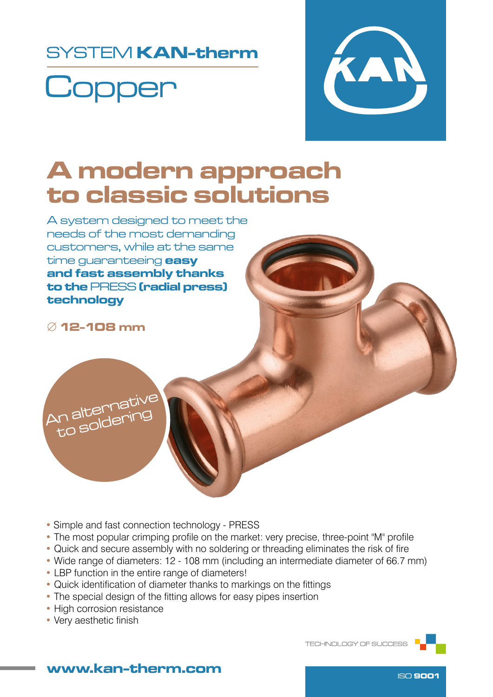### SYSTEM KAN-therm

# **Copper**



## A modern approach to classic solutions

A system designed to meet the needs of the most demanding customers, while at the same time quaranteeing **easy** and fast assembly thanks to the PRESS (radial press) technology

∅ 12-108 mm



- Simple and fast connection technology PRESS
- The most popular crimping profile on the market: very precise, three-point "M" profile
- Quick and secure assembly with no soldering or threading eliminates the risk of fire
- Wide range of diameters: 12 108 mm (including an intermediate diameter of 66.7 mm)
- LBP function in the entire range of diameters!
- Quick identification of diameter thanks to markings on the fittings
- The special design of the fitting allows for easy pipes insertion
- High corrosion resistance
- Very aesthetic finish

TECHNOLOGY OF SUCCESS



### www.kan-therm.com